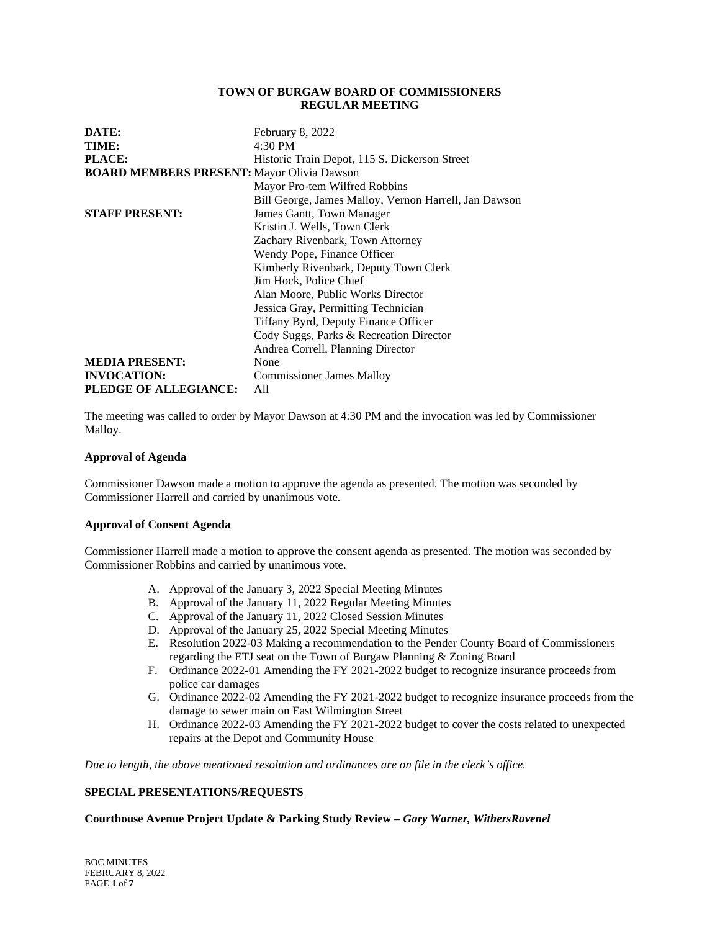## **TOWN OF BURGAW BOARD OF COMMISSIONERS REGULAR MEETING**

| DATE:                                             | February 8, 2022                                      |
|---------------------------------------------------|-------------------------------------------------------|
| TIME:                                             | 4:30 PM                                               |
| PLACE:                                            | Historic Train Depot, 115 S. Dickerson Street         |
| <b>BOARD MEMBERS PRESENT:</b> Mayor Olivia Dawson |                                                       |
|                                                   | Mayor Pro-tem Wilfred Robbins                         |
|                                                   | Bill George, James Malloy, Vernon Harrell, Jan Dawson |
| <b>STAFF PRESENT:</b>                             | James Gantt, Town Manager                             |
|                                                   | Kristin J. Wells, Town Clerk                          |
|                                                   | Zachary Rivenbark, Town Attorney                      |
|                                                   | Wendy Pope, Finance Officer                           |
|                                                   | Kimberly Rivenbark, Deputy Town Clerk                 |
|                                                   | Jim Hock, Police Chief                                |
|                                                   | Alan Moore, Public Works Director                     |
|                                                   | Jessica Gray, Permitting Technician                   |
|                                                   | Tiffany Byrd, Deputy Finance Officer                  |
|                                                   | Cody Suggs, Parks & Recreation Director               |
|                                                   | Andrea Correll, Planning Director                     |
| <b>MEDIA PRESENT:</b>                             | None                                                  |
| <b>INVOCATION:</b>                                | <b>Commissioner James Malloy</b>                      |
| PLEDGE OF ALLEGIANCE:                             | All                                                   |

The meeting was called to order by Mayor Dawson at 4:30 PM and the invocation was led by Commissioner Malloy.

## **Approval of Agenda**

Commissioner Dawson made a motion to approve the agenda as presented. The motion was seconded by Commissioner Harrell and carried by unanimous vote.

## **Approval of Consent Agenda**

Commissioner Harrell made a motion to approve the consent agenda as presented. The motion was seconded by Commissioner Robbins and carried by unanimous vote.

- A. Approval of the January 3, 2022 Special Meeting Minutes
- B. Approval of the January 11, 2022 Regular Meeting Minutes
- C. Approval of the January 11, 2022 Closed Session Minutes
- D. Approval of the January 25, 2022 Special Meeting Minutes
- E. Resolution 2022-03 Making a recommendation to the Pender County Board of Commissioners regarding the ETJ seat on the Town of Burgaw Planning & Zoning Board
- F. Ordinance 2022-01 Amending the FY 2021-2022 budget to recognize insurance proceeds from police car damages
- G. Ordinance 2022-02 Amending the FY 2021-2022 budget to recognize insurance proceeds from the damage to sewer main on East Wilmington Street
- H. Ordinance 2022-03 Amending the FY 2021-2022 budget to cover the costs related to unexpected repairs at the Depot and Community House

*Due to length, the above mentioned resolution and ordinances are on file in the clerk's office.*

# **SPECIAL PRESENTATIONS/REQUESTS**

## **Courthouse Avenue Project Update & Parking Study Review –** *Gary Warner, WithersRavenel*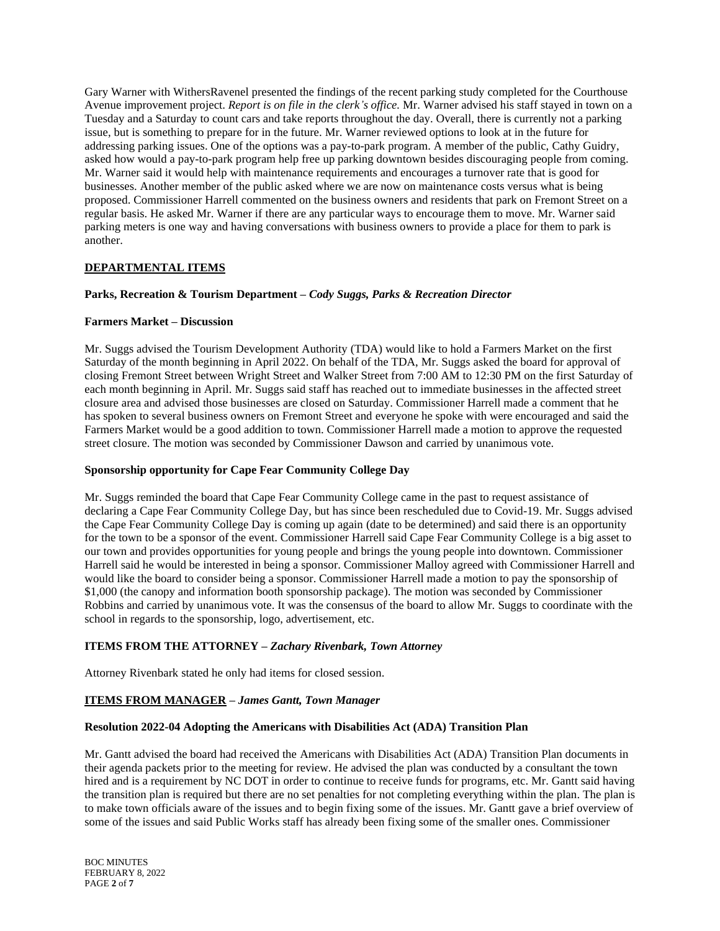Gary Warner with WithersRavenel presented the findings of the recent parking study completed for the Courthouse Avenue improvement project. *Report is on file in the clerk's office.* Mr. Warner advised his staff stayed in town on a Tuesday and a Saturday to count cars and take reports throughout the day. Overall, there is currently not a parking issue, but is something to prepare for in the future. Mr. Warner reviewed options to look at in the future for addressing parking issues. One of the options was a pay-to-park program. A member of the public, Cathy Guidry, asked how would a pay-to-park program help free up parking downtown besides discouraging people from coming. Mr. Warner said it would help with maintenance requirements and encourages a turnover rate that is good for businesses. Another member of the public asked where we are now on maintenance costs versus what is being proposed. Commissioner Harrell commented on the business owners and residents that park on Fremont Street on a regular basis. He asked Mr. Warner if there are any particular ways to encourage them to move. Mr. Warner said parking meters is one way and having conversations with business owners to provide a place for them to park is another.

# **DEPARTMENTAL ITEMS**

# **Parks, Recreation & Tourism Department –** *Cody Suggs, Parks & Recreation Director*

## **Farmers Market – Discussion**

Mr. Suggs advised the Tourism Development Authority (TDA) would like to hold a Farmers Market on the first Saturday of the month beginning in April 2022. On behalf of the TDA, Mr. Suggs asked the board for approval of closing Fremont Street between Wright Street and Walker Street from 7:00 AM to 12:30 PM on the first Saturday of each month beginning in April. Mr. Suggs said staff has reached out to immediate businesses in the affected street closure area and advised those businesses are closed on Saturday. Commissioner Harrell made a comment that he has spoken to several business owners on Fremont Street and everyone he spoke with were encouraged and said the Farmers Market would be a good addition to town. Commissioner Harrell made a motion to approve the requested street closure. The motion was seconded by Commissioner Dawson and carried by unanimous vote.

# **Sponsorship opportunity for Cape Fear Community College Day**

Mr. Suggs reminded the board that Cape Fear Community College came in the past to request assistance of declaring a Cape Fear Community College Day, but has since been rescheduled due to Covid-19. Mr. Suggs advised the Cape Fear Community College Day is coming up again (date to be determined) and said there is an opportunity for the town to be a sponsor of the event. Commissioner Harrell said Cape Fear Community College is a big asset to our town and provides opportunities for young people and brings the young people into downtown. Commissioner Harrell said he would be interested in being a sponsor. Commissioner Malloy agreed with Commissioner Harrell and would like the board to consider being a sponsor. Commissioner Harrell made a motion to pay the sponsorship of \$1,000 (the canopy and information booth sponsorship package). The motion was seconded by Commissioner Robbins and carried by unanimous vote. It was the consensus of the board to allow Mr. Suggs to coordinate with the school in regards to the sponsorship, logo, advertisement, etc.

# **ITEMS FROM THE ATTORNEY –** *Zachary Rivenbark, Town Attorney*

Attorney Rivenbark stated he only had items for closed session.

# **ITEMS FROM MANAGER –** *James Gantt, Town Manager*

## **Resolution 2022-04 Adopting the Americans with Disabilities Act (ADA) Transition Plan**

Mr. Gantt advised the board had received the Americans with Disabilities Act (ADA) Transition Plan documents in their agenda packets prior to the meeting for review. He advised the plan was conducted by a consultant the town hired and is a requirement by NC DOT in order to continue to receive funds for programs, etc. Mr. Gantt said having the transition plan is required but there are no set penalties for not completing everything within the plan. The plan is to make town officials aware of the issues and to begin fixing some of the issues. Mr. Gantt gave a brief overview of some of the issues and said Public Works staff has already been fixing some of the smaller ones. Commissioner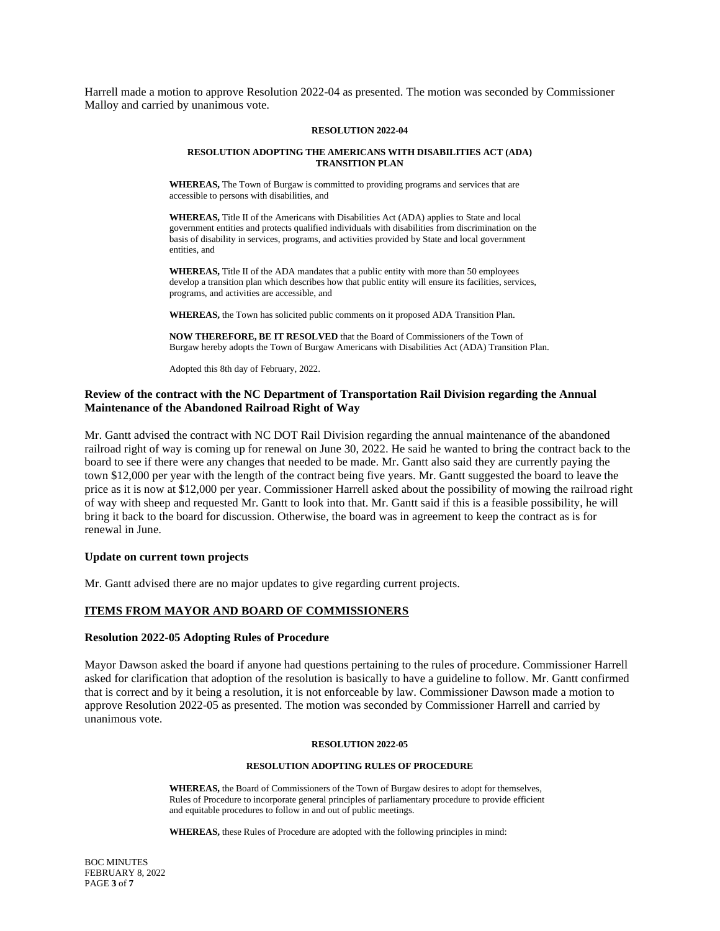Harrell made a motion to approve Resolution 2022-04 as presented. The motion was seconded by Commissioner Malloy and carried by unanimous vote.

### **RESOLUTION 2022-04**

#### **RESOLUTION ADOPTING THE AMERICANS WITH DISABILITIES ACT (ADA) TRANSITION PLAN**

**WHEREAS,** The Town of Burgaw is committed to providing programs and services that are accessible to persons with disabilities, and

**WHEREAS,** Title II of the Americans with Disabilities Act (ADA) applies to State and local government entities and protects qualified individuals with disabilities from discrimination on the basis of disability in services, programs, and activities provided by State and local government entities, and

**WHEREAS,** Title II of the ADA mandates that a public entity with more than 50 employees develop a transition plan which describes how that public entity will ensure its facilities, services, programs, and activities are accessible, and

**WHEREAS,** the Town has solicited public comments on it proposed ADA Transition Plan.

**NOW THEREFORE, BE IT RESOLVED** that the Board of Commissioners of the Town of Burgaw hereby adopts the Town of Burgaw Americans with Disabilities Act (ADA) Transition Plan.

Adopted this 8th day of February, 2022.

# **Review of the contract with the NC Department of Transportation Rail Division regarding the Annual Maintenance of the Abandoned Railroad Right of Way**

Mr. Gantt advised the contract with NC DOT Rail Division regarding the annual maintenance of the abandoned railroad right of way is coming up for renewal on June 30, 2022. He said he wanted to bring the contract back to the board to see if there were any changes that needed to be made. Mr. Gantt also said they are currently paying the town \$12,000 per year with the length of the contract being five years. Mr. Gantt suggested the board to leave the price as it is now at \$12,000 per year. Commissioner Harrell asked about the possibility of mowing the railroad right of way with sheep and requested Mr. Gantt to look into that. Mr. Gantt said if this is a feasible possibility, he will bring it back to the board for discussion. Otherwise, the board was in agreement to keep the contract as is for renewal in June.

### **Update on current town projects**

Mr. Gantt advised there are no major updates to give regarding current projects.

### **ITEMS FROM MAYOR AND BOARD OF COMMISSIONERS**

#### **Resolution 2022-05 Adopting Rules of Procedure**

Mayor Dawson asked the board if anyone had questions pertaining to the rules of procedure. Commissioner Harrell asked for clarification that adoption of the resolution is basically to have a guideline to follow. Mr. Gantt confirmed that is correct and by it being a resolution, it is not enforceable by law. Commissioner Dawson made a motion to approve Resolution 2022-05 as presented. The motion was seconded by Commissioner Harrell and carried by unanimous vote.

#### **RESOLUTION 2022-05**

#### **RESOLUTION ADOPTING RULES OF PROCEDURE**

**WHEREAS,** the Board of Commissioners of the Town of Burgaw desires to adopt for themselves, Rules of Procedure to incorporate general principles of parliamentary procedure to provide efficient and equitable procedures to follow in and out of public meetings.

**WHEREAS,** these Rules of Procedure are adopted with the following principles in mind: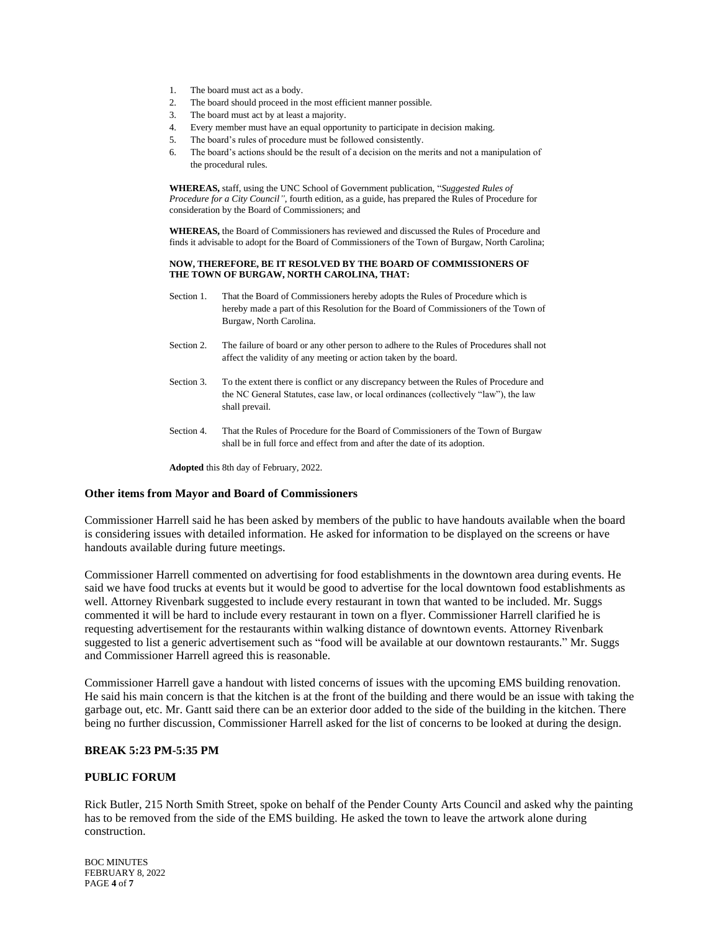- 1. The board must act as a body.
- 2. The board should proceed in the most efficient manner possible.
- 3. The board must act by at least a majority.
- 4. Every member must have an equal opportunity to participate in decision making.
- 5. The board's rules of procedure must be followed consistently.
- 6. The board's actions should be the result of a decision on the merits and not a manipulation of the procedural rules.

**WHEREAS,** staff, using the UNC School of Government publication, "*Suggested Rules of Procedure for a City Council"*, fourth edition, as a guide, has prepared the Rules of Procedure for consideration by the Board of Commissioners; and

**WHEREAS,** the Board of Commissioners has reviewed and discussed the Rules of Procedure and finds it advisable to adopt for the Board of Commissioners of the Town of Burgaw, North Carolina;

#### **NOW, THEREFORE, BE IT RESOLVED BY THE BOARD OF COMMISSIONERS OF THE TOWN OF BURGAW, NORTH CAROLINA, THAT:**

- Section 1. That the Board of Commissioners hereby adopts the Rules of Procedure which is hereby made a part of this Resolution for the Board of Commissioners of the Town of Burgaw, North Carolina.
- Section 2. The failure of board or any other person to adhere to the Rules of Procedures shall not affect the validity of any meeting or action taken by the board.
- Section 3. To the extent there is conflict or any discrepancy between the Rules of Procedure and the NC General Statutes, case law, or local ordinances (collectively "law"), the law shall prevail.
- Section 4. That the Rules of Procedure for the Board of Commissioners of the Town of Burgaw shall be in full force and effect from and after the date of its adoption.

**Adopted** this 8th day of February, 2022.

### **Other items from Mayor and Board of Commissioners**

Commissioner Harrell said he has been asked by members of the public to have handouts available when the board is considering issues with detailed information. He asked for information to be displayed on the screens or have handouts available during future meetings.

Commissioner Harrell commented on advertising for food establishments in the downtown area during events. He said we have food trucks at events but it would be good to advertise for the local downtown food establishments as well. Attorney Rivenbark suggested to include every restaurant in town that wanted to be included. Mr. Suggs commented it will be hard to include every restaurant in town on a flyer. Commissioner Harrell clarified he is requesting advertisement for the restaurants within walking distance of downtown events. Attorney Rivenbark suggested to list a generic advertisement such as "food will be available at our downtown restaurants." Mr. Suggs and Commissioner Harrell agreed this is reasonable.

Commissioner Harrell gave a handout with listed concerns of issues with the upcoming EMS building renovation. He said his main concern is that the kitchen is at the front of the building and there would be an issue with taking the garbage out, etc. Mr. Gantt said there can be an exterior door added to the side of the building in the kitchen. There being no further discussion, Commissioner Harrell asked for the list of concerns to be looked at during the design.

# **BREAK 5:23 PM-5:35 PM**

# **PUBLIC FORUM**

Rick Butler, 215 North Smith Street, spoke on behalf of the Pender County Arts Council and asked why the painting has to be removed from the side of the EMS building. He asked the town to leave the artwork alone during construction.

BOC MINUTES FEBRUARY 8, 2022 PAGE **4** of **7**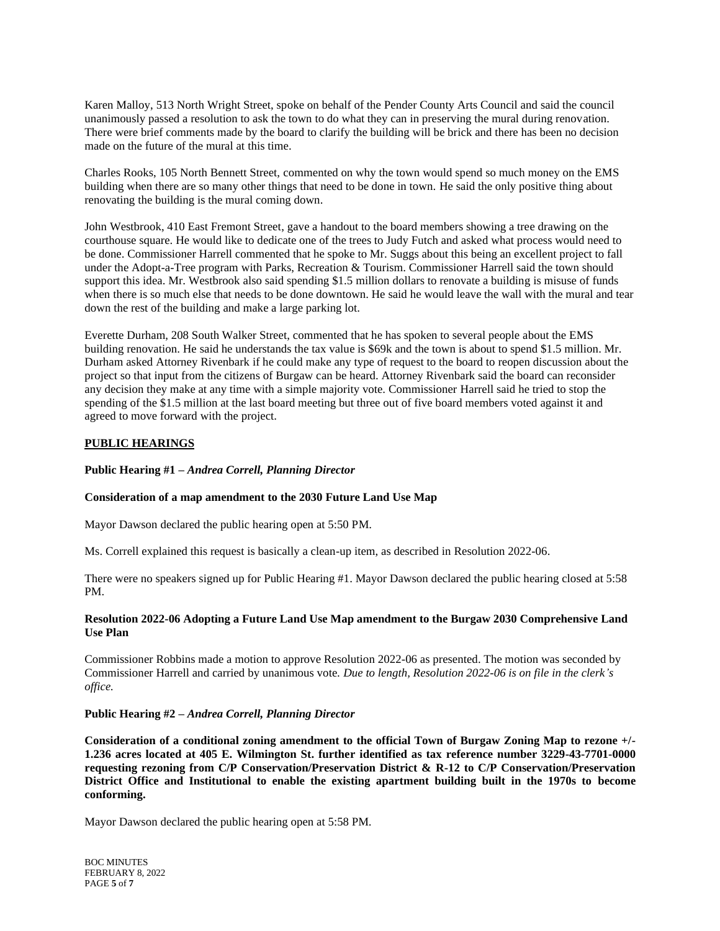Karen Malloy, 513 North Wright Street, spoke on behalf of the Pender County Arts Council and said the council unanimously passed a resolution to ask the town to do what they can in preserving the mural during renovation. There were brief comments made by the board to clarify the building will be brick and there has been no decision made on the future of the mural at this time.

Charles Rooks, 105 North Bennett Street, commented on why the town would spend so much money on the EMS building when there are so many other things that need to be done in town. He said the only positive thing about renovating the building is the mural coming down.

John Westbrook, 410 East Fremont Street, gave a handout to the board members showing a tree drawing on the courthouse square. He would like to dedicate one of the trees to Judy Futch and asked what process would need to be done. Commissioner Harrell commented that he spoke to Mr. Suggs about this being an excellent project to fall under the Adopt-a-Tree program with Parks, Recreation & Tourism. Commissioner Harrell said the town should support this idea. Mr. Westbrook also said spending \$1.5 million dollars to renovate a building is misuse of funds when there is so much else that needs to be done downtown. He said he would leave the wall with the mural and tear down the rest of the building and make a large parking lot.

Everette Durham, 208 South Walker Street, commented that he has spoken to several people about the EMS building renovation. He said he understands the tax value is \$69k and the town is about to spend \$1.5 million. Mr. Durham asked Attorney Rivenbark if he could make any type of request to the board to reopen discussion about the project so that input from the citizens of Burgaw can be heard. Attorney Rivenbark said the board can reconsider any decision they make at any time with a simple majority vote. Commissioner Harrell said he tried to stop the spending of the \$1.5 million at the last board meeting but three out of five board members voted against it and agreed to move forward with the project.

# **PUBLIC HEARINGS**

# **Public Hearing #1 –** *Andrea Correll, Planning Director*

## **Consideration of a map amendment to the 2030 Future Land Use Map**

Mayor Dawson declared the public hearing open at 5:50 PM.

Ms. Correll explained this request is basically a clean-up item, as described in Resolution 2022-06.

There were no speakers signed up for Public Hearing #1. Mayor Dawson declared the public hearing closed at 5:58 PM.

# **Resolution 2022-06 Adopting a Future Land Use Map amendment to the Burgaw 2030 Comprehensive Land Use Plan**

Commissioner Robbins made a motion to approve Resolution 2022-06 as presented. The motion was seconded by Commissioner Harrell and carried by unanimous vote. *Due to length, Resolution 2022-06 is on file in the clerk's office.*

### **Public Hearing #2 –** *Andrea Correll, Planning Director*

**Consideration of a conditional zoning amendment to the official Town of Burgaw Zoning Map to rezone +/- 1.236 acres located at 405 E. Wilmington St. further identified as tax reference number 3229-43-7701-0000 requesting rezoning from C/P Conservation/Preservation District & R-12 to C/P Conservation/Preservation District Office and Institutional to enable the existing apartment building built in the 1970s to become conforming.**

Mayor Dawson declared the public hearing open at 5:58 PM.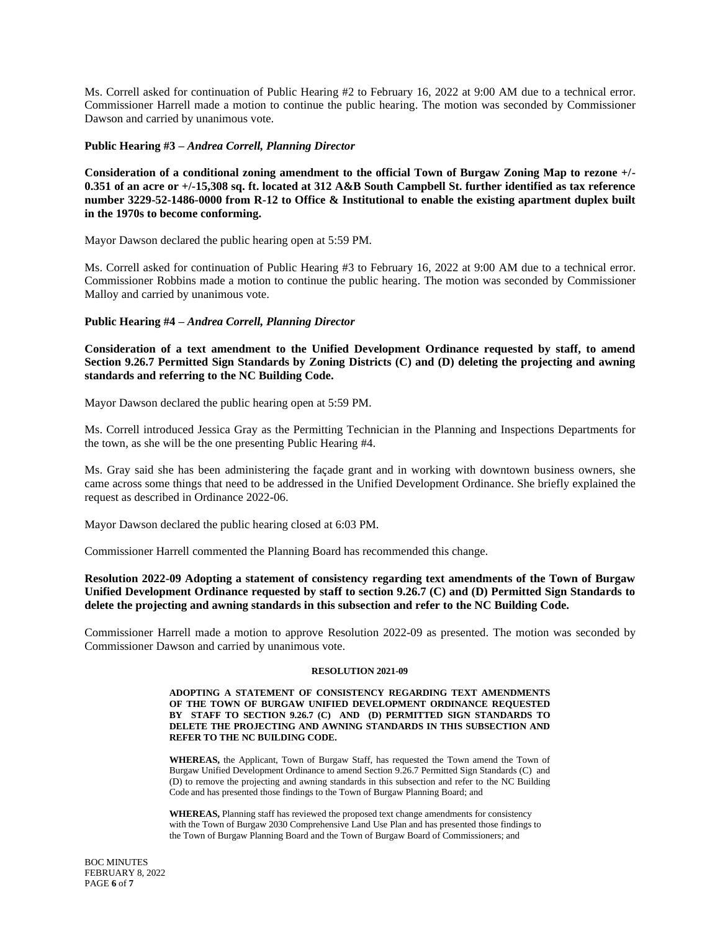Ms. Correll asked for continuation of Public Hearing #2 to February 16, 2022 at 9:00 AM due to a technical error. Commissioner Harrell made a motion to continue the public hearing. The motion was seconded by Commissioner Dawson and carried by unanimous vote.

### **Public Hearing #3 –** *Andrea Correll, Planning Director*

**Consideration of a conditional zoning amendment to the official Town of Burgaw Zoning Map to rezone +/- 0.351 of an acre or +/-15,308 sq. ft. located at 312 A&B South Campbell St. further identified as tax reference number 3229-52-1486-0000 from R-12 to Office & Institutional to enable the existing apartment duplex built in the 1970s to become conforming.**

Mayor Dawson declared the public hearing open at 5:59 PM.

Ms. Correll asked for continuation of Public Hearing #3 to February 16, 2022 at 9:00 AM due to a technical error. Commissioner Robbins made a motion to continue the public hearing. The motion was seconded by Commissioner Malloy and carried by unanimous vote.

### **Public Hearing #4 –** *Andrea Correll, Planning Director*

**Consideration of a text amendment to the Unified Development Ordinance requested by staff, to amend Section 9.26.7 Permitted Sign Standards by Zoning Districts (C) and (D) deleting the projecting and awning standards and referring to the NC Building Code.**

Mayor Dawson declared the public hearing open at 5:59 PM.

Ms. Correll introduced Jessica Gray as the Permitting Technician in the Planning and Inspections Departments for the town, as she will be the one presenting Public Hearing #4.

Ms. Gray said she has been administering the façade grant and in working with downtown business owners, she came across some things that need to be addressed in the Unified Development Ordinance. She briefly explained the request as described in Ordinance 2022-06.

Mayor Dawson declared the public hearing closed at 6:03 PM.

Commissioner Harrell commented the Planning Board has recommended this change.

# **Resolution 2022-09 Adopting a statement of consistency regarding text amendments of the Town of Burgaw Unified Development Ordinance requested by staff to section 9.26.7 (C) and (D) Permitted Sign Standards to delete the projecting and awning standards in this subsection and refer to the NC Building Code.**

Commissioner Harrell made a motion to approve Resolution 2022-09 as presented. The motion was seconded by Commissioner Dawson and carried by unanimous vote.

#### **RESOLUTION 2021-09**

#### **ADOPTING A STATEMENT OF CONSISTENCY REGARDING TEXT AMENDMENTS OF THE TOWN OF BURGAW UNIFIED DEVELOPMENT ORDINANCE REQUESTED BY STAFF TO SECTION 9.26.7 (C) AND (D) PERMITTED SIGN STANDARDS TO DELETE THE PROJECTING AND AWNING STANDARDS IN THIS SUBSECTION AND REFER TO THE NC BUILDING CODE.**

**WHEREAS,** the Applicant, Town of Burgaw Staff, has requested the Town amend the Town of Burgaw Unified Development Ordinance to amend Section 9.26.7 Permitted Sign Standards (C) and (D) to remove the projecting and awning standards in this subsection and refer to the NC Building Code and has presented those findings to the Town of Burgaw Planning Board; and

**WHEREAS,** Planning staff has reviewed the proposed text change amendments for consistency with the Town of Burgaw 2030 Comprehensive Land Use Plan and has presented those findings to the Town of Burgaw Planning Board and the Town of Burgaw Board of Commissioners; and